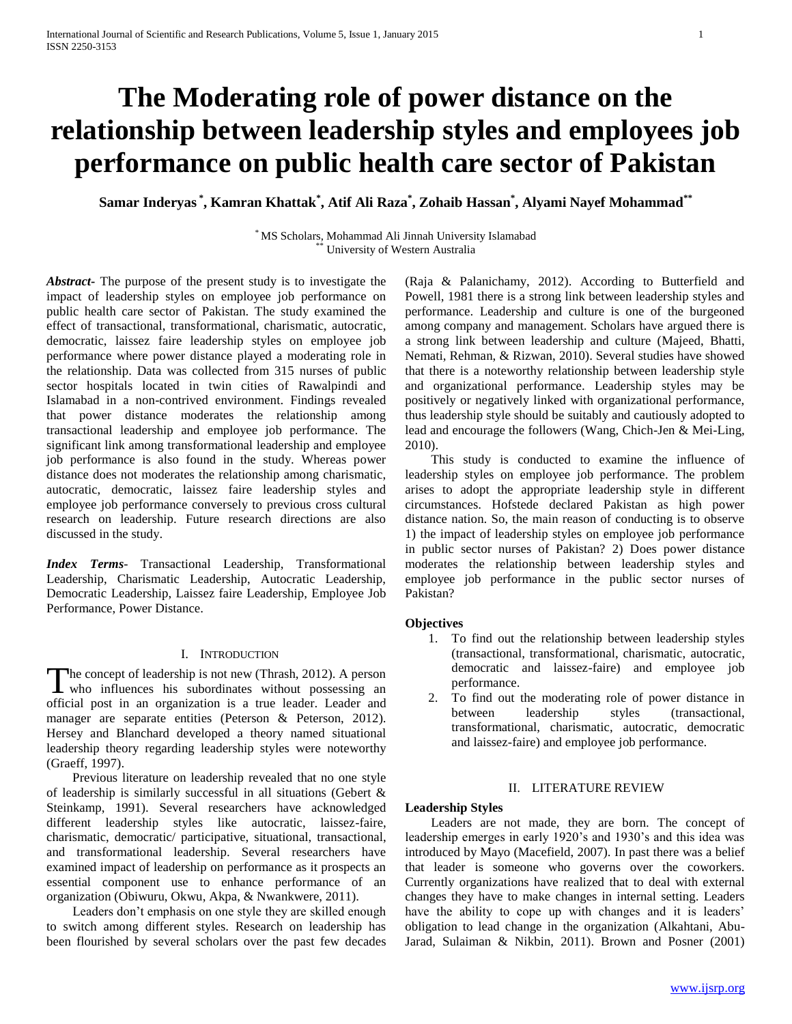# **The Moderating role of power distance on the relationship between leadership styles and employees job performance on public health care sector of Pakistan**

**Samar Inderyas \* , Kamran Khattak\* , Atif Ali Raza\* , Zohaib Hassan\* , Alyami Nayef Mohammad\*\***

\* MS Scholars, Mohammad Ali Jinnah University Islamabad University of Western Australia

*Abstract***-** The purpose of the present study is to investigate the impact of leadership styles on employee job performance on public health care sector of Pakistan. The study examined the effect of transactional, transformational, charismatic, autocratic, democratic, laissez faire leadership styles on employee job performance where power distance played a moderating role in the relationship. Data was collected from 315 nurses of public sector hospitals located in twin cities of Rawalpindi and Islamabad in a non-contrived environment. Findings revealed that power distance moderates the relationship among transactional leadership and employee job performance. The significant link among transformational leadership and employee job performance is also found in the study. Whereas power distance does not moderates the relationship among charismatic, autocratic, democratic, laissez faire leadership styles and employee job performance conversely to previous cross cultural research on leadership. Future research directions are also discussed in the study.

*Index Terms*- Transactional Leadership, Transformational Leadership, Charismatic Leadership, Autocratic Leadership, Democratic Leadership, Laissez faire Leadership, Employee Job Performance, Power Distance.

#### I. INTRODUCTION

The concept of leadership is not new (Thrash, 2012). A person The concept of leadership is not new (Thrash, 2012). A person<br>who influences his subordinates without possessing an official post in an organization is a true leader. Leader and manager are separate entities (Peterson & Peterson, 2012). Hersey and Blanchard developed a theory named situational leadership theory regarding leadership styles were noteworthy (Graeff, 1997).

 Previous literature on leadership revealed that no one style of leadership is similarly successful in all situations (Gebert & Steinkamp, 1991). Several researchers have acknowledged different leadership styles like autocratic, laissez-faire, charismatic, democratic/ participative, situational, transactional, and transformational leadership. Several researchers have examined impact of leadership on performance as it prospects an essential component use to enhance performance of an organization (Obiwuru, Okwu, Akpa, & Nwankwere, 2011).

 Leaders don't emphasis on one style they are skilled enough to switch among different styles. Research on leadership has been flourished by several scholars over the past few decades

(Raja & Palanichamy, 2012). According to Butterfield and Powell, 1981 there is a strong link between leadership styles and performance. Leadership and culture is one of the burgeoned among company and management. Scholars have argued there is a strong link between leadership and culture (Majeed, Bhatti, Nemati, Rehman, & Rizwan, 2010). Several studies have showed that there is a noteworthy relationship between leadership style and organizational performance. Leadership styles may be positively or negatively linked with organizational performance, thus leadership style should be suitably and cautiously adopted to lead and encourage the followers (Wang, Chich-Jen & Mei-Ling, 2010).

 This study is conducted to examine the influence of leadership styles on employee job performance. The problem arises to adopt the appropriate leadership style in different circumstances. Hofstede declared Pakistan as high power distance nation. So, the main reason of conducting is to observe 1) the impact of leadership styles on employee job performance in public sector nurses of Pakistan? 2) Does power distance moderates the relationship between leadership styles and employee job performance in the public sector nurses of Pakistan?

#### **Objectives**

- 1. To find out the relationship between leadership styles (transactional, transformational, charismatic, autocratic, democratic and laissez-faire) and employee job performance.
- 2. To find out the moderating role of power distance in between leadership styles (transactional, transformational, charismatic, autocratic, democratic and laissez-faire) and employee job performance.

#### II. LITERATURE REVIEW

#### **Leadership Styles**

 Leaders are not made, they are born. The concept of leadership emerges in early 1920's and 1930's and this idea was introduced by Mayo (Macefield, 2007). In past there was a belief that leader is someone who governs over the coworkers. Currently organizations have realized that to deal with external changes they have to make changes in internal setting. Leaders have the ability to cope up with changes and it is leaders' obligation to lead change in the organization (Alkahtani, Abu-Jarad, Sulaiman & Nikbin, 2011). Brown and Posner (2001)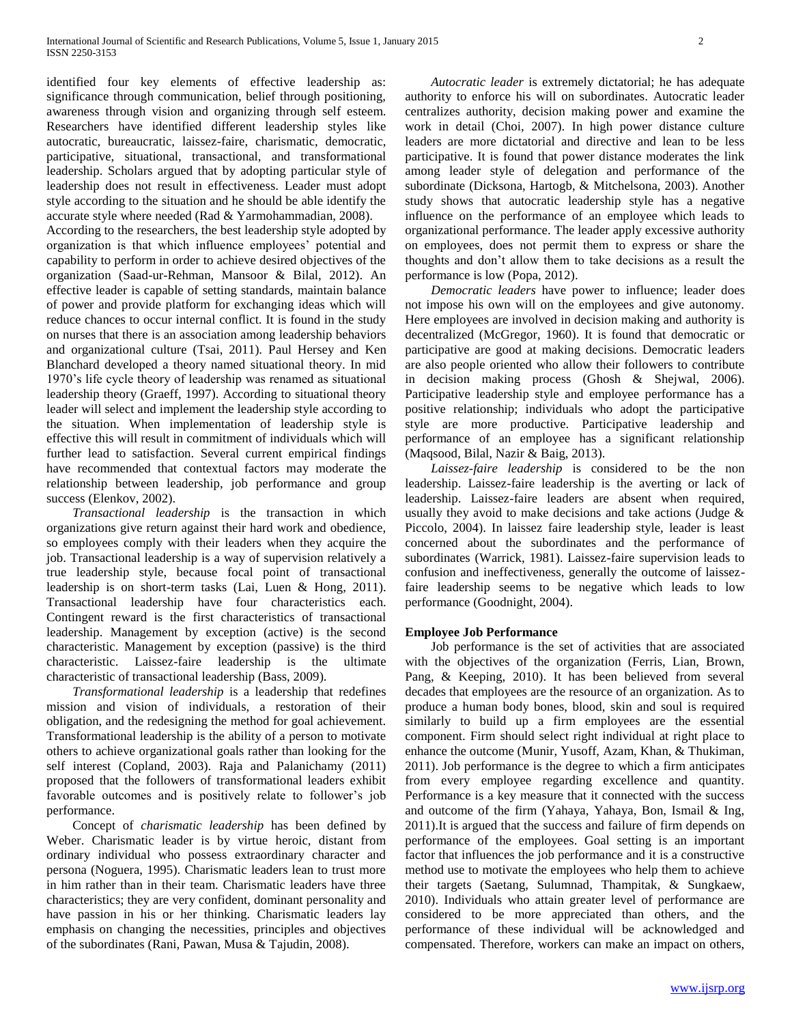identified four key elements of effective leadership as: significance through communication, belief through positioning, awareness through vision and organizing through self esteem. Researchers have identified different leadership styles like autocratic, bureaucratic, laissez-faire, charismatic, democratic, participative, situational, transactional, and transformational leadership. Scholars argued that by adopting particular style of leadership does not result in effectiveness. Leader must adopt style according to the situation and he should be able identify the accurate style where needed (Rad & Yarmohammadian, 2008).

According to the researchers, the best leadership style adopted by organization is that which influence employees' potential and capability to perform in order to achieve desired objectives of the organization (Saad-ur-Rehman, Mansoor & Bilal, 2012). An effective leader is capable of setting standards, maintain balance of power and provide platform for exchanging ideas which will reduce chances to occur internal conflict. It is found in the study on nurses that there is an association among leadership behaviors and organizational culture (Tsai, 2011). Paul Hersey and Ken Blanchard developed a theory named situational theory. In mid 1970's life cycle theory of leadership was renamed as situational leadership theory (Graeff, 1997). According to situational theory leader will select and implement the leadership style according to the situation. When implementation of leadership style is effective this will result in commitment of individuals which will further lead to satisfaction. Several current empirical findings have recommended that contextual factors may moderate the relationship between leadership, job performance and group success (Elenkov, 2002).

 *Transactional leadership* is the transaction in which organizations give return against their hard work and obedience, so employees comply with their leaders when they acquire the job. Transactional leadership is a way of supervision relatively a true leadership style, because focal point of transactional leadership is on short-term tasks (Lai, Luen & Hong, 2011). Transactional leadership have four characteristics each. Contingent reward is the first characteristics of transactional leadership. Management by exception (active) is the second characteristic. Management by exception (passive) is the third characteristic. Laissez-faire leadership is the ultimate characteristic of transactional leadership (Bass, 2009).

 *Transformational leadership* is a leadership that redefines mission and vision of individuals, a restoration of their obligation, and the redesigning the method for goal achievement. Transformational leadership is the ability of a person to motivate others to achieve organizational goals rather than looking for the self interest (Copland, 2003). Raja and Palanichamy (2011) proposed that the followers of transformational leaders exhibit favorable outcomes and is positively relate to follower's job performance.

 Concept of *charismatic leadership* has been defined by Weber. Charismatic leader is by virtue heroic, distant from ordinary individual who possess extraordinary character and persona (Noguera, 1995). Charismatic leaders lean to trust more in him rather than in their team. Charismatic leaders have three characteristics; they are very confident, dominant personality and have passion in his or her thinking. Charismatic leaders lay emphasis on changing the necessities, principles and objectives of the subordinates (Rani, Pawan, Musa & Tajudin, 2008).

 *Autocratic leader* is extremely dictatorial; he has adequate authority to enforce his will on subordinates. Autocratic leader centralizes authority, decision making power and examine the work in detail (Choi, 2007). In high power distance culture leaders are more dictatorial and directive and lean to be less participative. It is found that power distance moderates the link among leader style of delegation and performance of the subordinate (Dicksona, Hartogb, & Mitchelsona, 2003). Another study shows that autocratic leadership style has a negative influence on the performance of an employee which leads to organizational performance. The leader apply excessive authority on employees, does not permit them to express or share the thoughts and don't allow them to take decisions as a result the performance is low (Popa, 2012).

 *Democratic leaders* have power to influence; leader does not impose his own will on the employees and give autonomy. Here employees are involved in decision making and authority is decentralized (McGregor, 1960). It is found that democratic or participative are good at making decisions. Democratic leaders are also people oriented who allow their followers to contribute in decision making process (Ghosh & Shejwal, 2006). Participative leadership style and employee performance has a positive relationship; individuals who adopt the participative style are more productive. Participative leadership and performance of an employee has a significant relationship (Maqsood, Bilal, Nazir & Baig, 2013).

 *Laissez-faire leadership* is considered to be the non leadership. Laissez-faire leadership is the averting or lack of leadership. Laissez-faire leaders are absent when required, usually they avoid to make decisions and take actions (Judge & Piccolo, 2004). In laissez faire leadership style, leader is least concerned about the subordinates and the performance of subordinates (Warrick, 1981). Laissez-faire supervision leads to confusion and ineffectiveness, generally the outcome of laissezfaire leadership seems to be negative which leads to low performance (Goodnight, 2004).

### **Employee Job Performance**

 Job performance is the set of activities that are associated with the objectives of the organization (Ferris, Lian, Brown, Pang, & Keeping, 2010). It has been believed from several decades that employees are the resource of an organization. As to produce a human body bones, blood, skin and soul is required similarly to build up a firm employees are the essential component. Firm should select right individual at right place to enhance the outcome (Munir, Yusoff, Azam, Khan, & Thukiman, 2011). Job performance is the degree to which a firm anticipates from every employee regarding excellence and quantity. Performance is a key measure that it connected with the success and outcome of the firm (Yahaya, Yahaya, Bon, Ismail & Ing, 2011).It is argued that the success and failure of firm depends on performance of the employees. Goal setting is an important factor that influences the job performance and it is a constructive method use to motivate the employees who help them to achieve their targets (Saetang, Sulumnad, Thampitak, & Sungkaew, 2010). Individuals who attain greater level of performance are considered to be more appreciated than others, and the performance of these individual will be acknowledged and compensated. Therefore, workers can make an impact on others,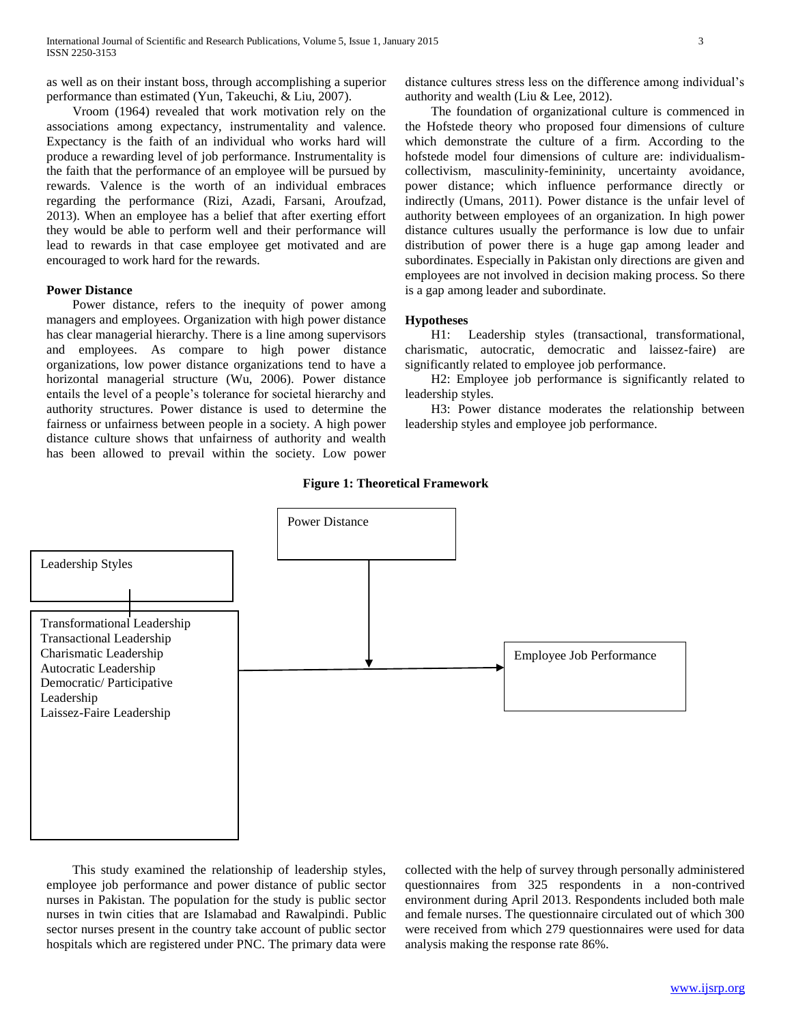as well as on their instant boss, through accomplishing a superior performance than estimated (Yun, Takeuchi, & Liu, 2007).

 Vroom (1964) revealed that work motivation rely on the associations among expectancy, instrumentality and valence. Expectancy is the faith of an individual who works hard will produce a rewarding level of job performance. Instrumentality is the faith that the performance of an employee will be pursued by rewards. Valence is the worth of an individual embraces regarding the performance (Rizi, Azadi, Farsani, Aroufzad, 2013). When an employee has a belief that after exerting effort they would be able to perform well and their performance will lead to rewards in that case employee get motivated and are encouraged to work hard for the rewards.

## **Power Distance**

 Power distance, refers to the inequity of power among managers and employees. Organization with high power distance has clear managerial hierarchy. There is a line among supervisors and employees. As compare to high power distance organizations, low power distance organizations tend to have a horizontal managerial structure (Wu, 2006). Power distance entails the level of a people's tolerance for societal hierarchy and authority structures. Power distance is used to determine the fairness or unfairness between people in a society. A high power distance culture shows that unfairness of authority and wealth has been allowed to prevail within the society. Low power

distance cultures stress less on the difference among individual's authority and wealth (Liu & Lee, 2012).

 The foundation of organizational culture is commenced in the Hofstede theory who proposed four dimensions of culture which demonstrate the culture of a firm. According to the hofstede model four dimensions of culture are: individualismcollectivism, masculinity-femininity, uncertainty avoidance, power distance; which influence performance directly or indirectly (Umans, 2011). Power distance is the unfair level of authority between employees of an organization. In high power distance cultures usually the performance is low due to unfair distribution of power there is a huge gap among leader and subordinates. Especially in Pakistan only directions are given and employees are not involved in decision making process. So there is a gap among leader and subordinate.

#### **Hypotheses**

 H1: Leadership styles (transactional, transformational, charismatic, autocratic, democratic and laissez-faire) are significantly related to employee job performance.

 H2: Employee job performance is significantly related to leadership styles.

 H3: Power distance moderates the relationship between leadership styles and employee job performance.





 This study examined the relationship of leadership styles, employee job performance and power distance of public sector nurses in Pakistan. The population for the study is public sector nurses in twin cities that are Islamabad and Rawalpindi. Public sector nurses present in the country take account of public sector hospitals which are registered under PNC. The primary data were

collected with the help of survey through personally administered questionnaires from 325 respondents in a non-contrived environment during April 2013. Respondents included both male and female nurses. The questionnaire circulated out of which 300 were received from which 279 questionnaires were used for data analysis making the response rate 86%.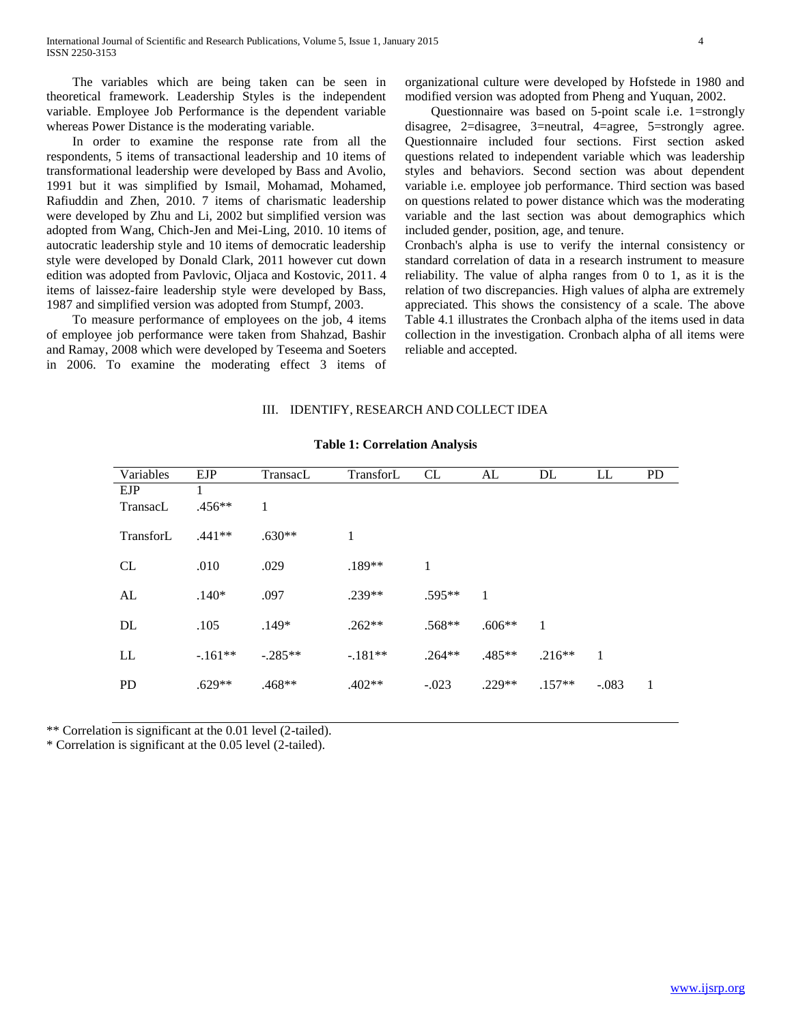The variables which are being taken can be seen in theoretical framework. Leadership Styles is the independent variable. Employee Job Performance is the dependent variable whereas Power Distance is the moderating variable.

 In order to examine the response rate from all the respondents, 5 items of transactional leadership and 10 items of transformational leadership were developed by Bass and Avolio, 1991 but it was simplified by Ismail, Mohamad, Mohamed, Rafiuddin and Zhen, 2010. 7 items of charismatic leadership were developed by Zhu and Li, 2002 but simplified version was adopted from Wang, Chich-Jen and Mei-Ling, 2010. 10 items of autocratic leadership style and 10 items of democratic leadership style were developed by Donald Clark, 2011 however cut down edition was adopted from Pavlovic, Oljaca and Kostovic, 2011. 4 items of laissez-faire leadership style were developed by Bass, 1987 and simplified version was adopted from Stumpf, 2003.

 To measure performance of employees on the job, 4 items of employee job performance were taken from Shahzad, Bashir and Ramay, 2008 which were developed by Teseema and Soeters in 2006. To examine the moderating effect 3 items of organizational culture were developed by Hofstede in 1980 and modified version was adopted from Pheng and Yuquan, 2002.

 Questionnaire was based on 5-point scale i.e. 1=strongly disagree, 2=disagree, 3=neutral, 4=agree, 5=strongly agree. Questionnaire included four sections. First section asked questions related to independent variable which was leadership styles and behaviors. Second section was about dependent variable i.e. employee job performance. Third section was based on questions related to power distance which was the moderating variable and the last section was about demographics which included gender, position, age, and tenure.

Cronbach's alpha is use to verify the internal consistency or standard correlation of data in a research instrument to measure reliability. The value of alpha ranges from 0 to 1, as it is the relation of two discrepancies. High values of alpha are extremely appreciated. This shows the consistency of a scale. The above Table 4.1 illustrates the Cronbach alpha of the items used in data collection in the investigation. Cronbach alpha of all items were reliable and accepted.

#### III. IDENTIFY, RESEARCH AND COLLECT IDEA

| Variables | <b>EJP</b> | TransacL  | TransforL | CL       | AL       | DL           | LL      | <b>PD</b> |
|-----------|------------|-----------|-----------|----------|----------|--------------|---------|-----------|
| EJP       | 1          |           |           |          |          |              |         |           |
| TransacL  | $.456**$   | 1         |           |          |          |              |         |           |
| TransforL | $.441**$   | $.630**$  | 1         |          |          |              |         |           |
| CL        | .010       | .029      | $.189**$  | 1        |          |              |         |           |
| AL        | $.140*$    | .097      | $.239**$  | $.595**$ | 1        |              |         |           |
| DL        | .105       | $.149*$   | $.262**$  | $.568**$ | $.606**$ | $\mathbf{1}$ |         |           |
| LL        | $-.161**$  | $-.285**$ | $-.181**$ | $.264**$ | $.485**$ | $.216**$     | 1       |           |
| <b>PD</b> | $.629**$   | .468**    | $.402**$  | $-.023$  | $.229**$ | $.157**$     | $-.083$ | 1         |

### **Table 1: Correlation Analysis**

\*\* Correlation is significant at the 0.01 level (2-tailed).

\* Correlation is significant at the 0.05 level (2-tailed).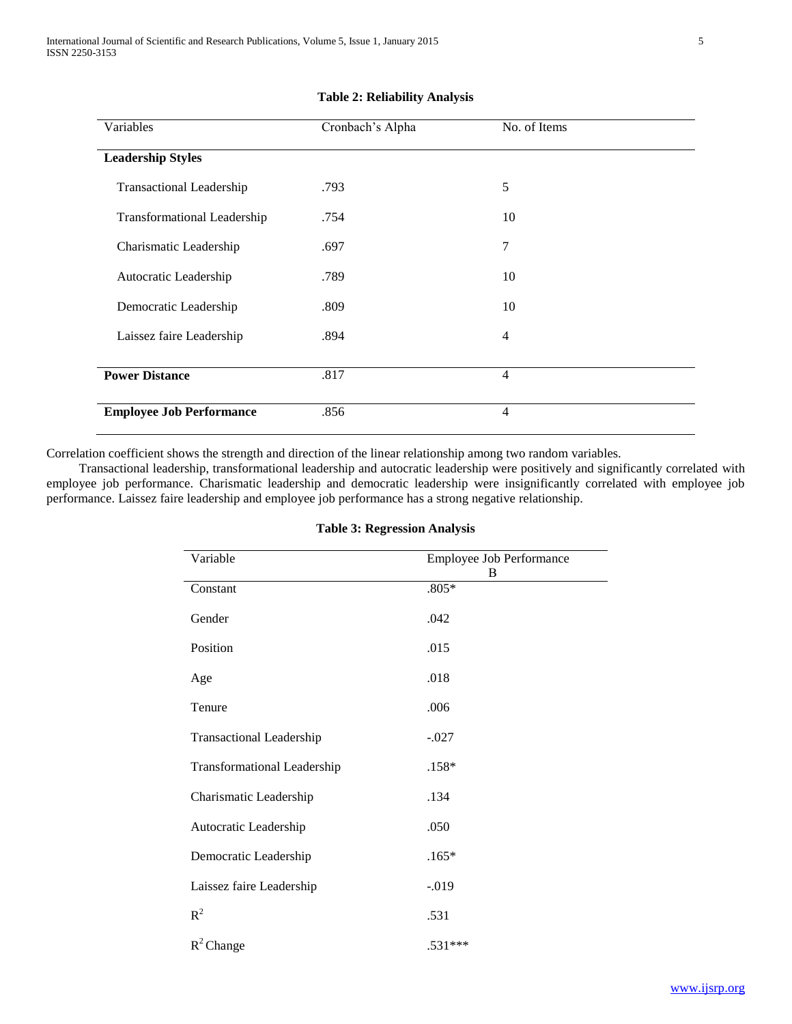| Variables                          | Cronbach's Alpha | No. of Items   |  |
|------------------------------------|------------------|----------------|--|
|                                    |                  |                |  |
| <b>Leadership Styles</b>           |                  |                |  |
|                                    |                  |                |  |
| <b>Transactional Leadership</b>    | .793             | 5              |  |
|                                    |                  |                |  |
| <b>Transformational Leadership</b> | .754             | 10             |  |
|                                    |                  |                |  |
| Charismatic Leadership             | .697             | 7              |  |
|                                    |                  |                |  |
| Autocratic Leadership              | .789             | 10             |  |
|                                    |                  |                |  |
| Democratic Leadership              | .809             | 10             |  |
|                                    |                  |                |  |
| Laissez faire Leadership           | .894             | $\overline{4}$ |  |
|                                    |                  |                |  |
| <b>Power Distance</b>              | .817             | $\overline{4}$ |  |
|                                    |                  |                |  |
|                                    |                  |                |  |
| <b>Employee Job Performance</b>    | .856             | $\overline{4}$ |  |
|                                    |                  |                |  |

## **Table 2: Reliability Analysis**

Correlation coefficient shows the strength and direction of the linear relationship among two random variables.

 Transactional leadership, transformational leadership and autocratic leadership were positively and significantly correlated with employee job performance. Charismatic leadership and democratic leadership were insignificantly correlated with employee job performance. Laissez faire leadership and employee job performance has a strong negative relationship.

| Variable                           | <b>Employee Job Performance</b> |  |  |
|------------------------------------|---------------------------------|--|--|
| Constant                           | В<br>$.805*$                    |  |  |
| Gender                             | .042                            |  |  |
| Position                           | .015                            |  |  |
| Age                                | .018                            |  |  |
| Tenure                             | .006                            |  |  |
| <b>Transactional Leadership</b>    | $-.027$                         |  |  |
| <b>Transformational Leadership</b> | $.158*$                         |  |  |
| Charismatic Leadership             | .134                            |  |  |
| Autocratic Leadership              | .050                            |  |  |
| Democratic Leadership              | $.165*$                         |  |  |
| Laissez faire Leadership           | $-0.019$                        |  |  |
| $R^2$                              | .531                            |  |  |
| $R^2$ Change                       | $.531***$                       |  |  |

#### **Table 3: Regression Analysis**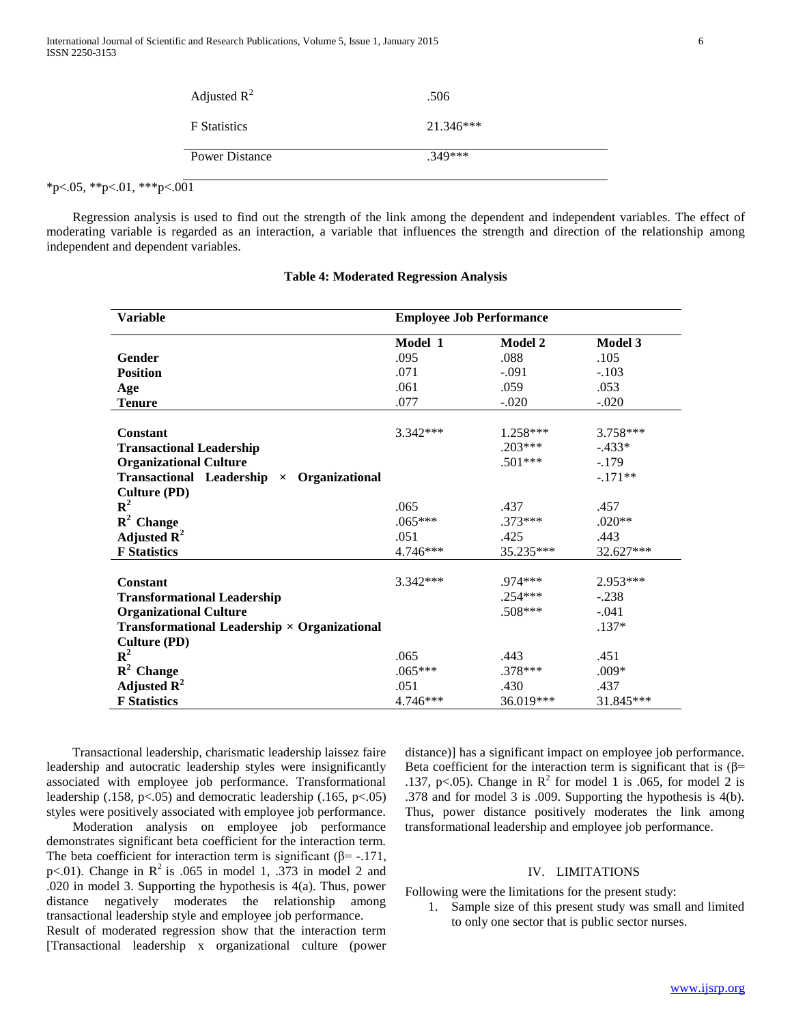|                            | Adjusted $R^2$        | .506        |  |
|----------------------------|-----------------------|-------------|--|
|                            | <b>F</b> Statistics   | $21.346***$ |  |
|                            | <b>Power Distance</b> | $.349***$   |  |
| *p<.05, **p<.01, ***p<.001 |                       |             |  |

 Regression analysis is used to find out the strength of the link among the dependent and independent variables. The effect of moderating variable is regarded as an interaction, a variable that influences the strength and direction of the relationship among independent and dependent variables.

| <b>Variable</b>                                                       | <b>Employee Job Performance</b> |           |            |  |
|-----------------------------------------------------------------------|---------------------------------|-----------|------------|--|
|                                                                       | Model 1                         | Model 2   | Model 3    |  |
| Gender                                                                | .095                            | .088      | .105       |  |
| <b>Position</b>                                                       | .071                            | $-.091$   | $-.103$    |  |
| Age                                                                   | .061                            | .059      | .053       |  |
| <b>Tenure</b>                                                         | .077                            | $-.020$   | $-.020$    |  |
|                                                                       |                                 |           |            |  |
| Constant                                                              | 3.342 ***                       | 1.258***  | 3.758***   |  |
| <b>Transactional Leadership</b>                                       |                                 | $.203***$ | $-.433*$   |  |
| <b>Organizational Culture</b>                                         |                                 | $.501***$ | $-.179$    |  |
| <b>Transactional Leadership</b><br>Organizational<br>$\times$         |                                 |           | $-.171**$  |  |
| <b>Culture (PD)</b>                                                   |                                 |           |            |  |
| ${\bf R}^2$                                                           | .065                            | .437      | .457       |  |
| $\mathbb{R}^2$ Change                                                 | $.065***$                       | $.373***$ | $.020**$   |  |
| Adjusted $\mathbf{R}^2$                                               | .051                            | .425      | .443       |  |
| <b>F</b> Statistics                                                   | 4.746***                        | 35.235*** | 32.627***  |  |
|                                                                       |                                 |           |            |  |
| Constant                                                              | 3.342 ***                       | .974***   | $2.953***$ |  |
| <b>Transformational Leadership</b>                                    |                                 | $.254***$ | $-.238$    |  |
| <b>Organizational Culture</b>                                         |                                 | $.508***$ | $-.041$    |  |
| <b>Transformational Leadership <math>\times</math> Organizational</b> |                                 |           | $.137*$    |  |
| <b>Culture (PD)</b>                                                   |                                 |           |            |  |
| ${\bf R}^2$                                                           | .065                            | .443      | .451       |  |
| $\mathbb{R}^2$ Change                                                 | $.065***$                       | .378***   | $.009*$    |  |
| Adjusted $\mathbf{R}^2$                                               | .051                            | .430      | .437       |  |
| <b>F</b> Statistics                                                   | 4.746***                        | 36.019*** | 31.845***  |  |

#### **Table 4: Moderated Regression Analysis**

 Transactional leadership, charismatic leadership laissez faire leadership and autocratic leadership styles were insignificantly associated with employee job performance. Transformational leadership (.158, p<.05) and democratic leadership (.165, p<.05) styles were positively associated with employee job performance.

 Moderation analysis on employee job performance demonstrates significant beta coefficient for the interaction term. The beta coefficient for interaction term is significant ( $\beta$ = -.171, p<.01). Change in  $\mathbb{R}^2$  is .065 in model 1, .373 in model 2 and .020 in model 3. Supporting the hypothesis is 4(a). Thus, power distance negatively moderates the relationship among transactional leadership style and employee job performance.

Result of moderated regression show that the interaction term [Transactional leadership x organizational culture (power distance)] has a significant impact on employee job performance. Beta coefficient for the interaction term is significant that is  $(\beta$ = .137, p<.05). Change in  $\mathbb{R}^2$  for model 1 is .065, for model 2 is .378 and for model 3 is .009. Supporting the hypothesis is 4(b). Thus, power distance positively moderates the link among transformational leadership and employee job performance.

#### IV. LIMITATIONS

Following were the limitations for the present study:

1. Sample size of this present study was small and limited to only one sector that is public sector nurses.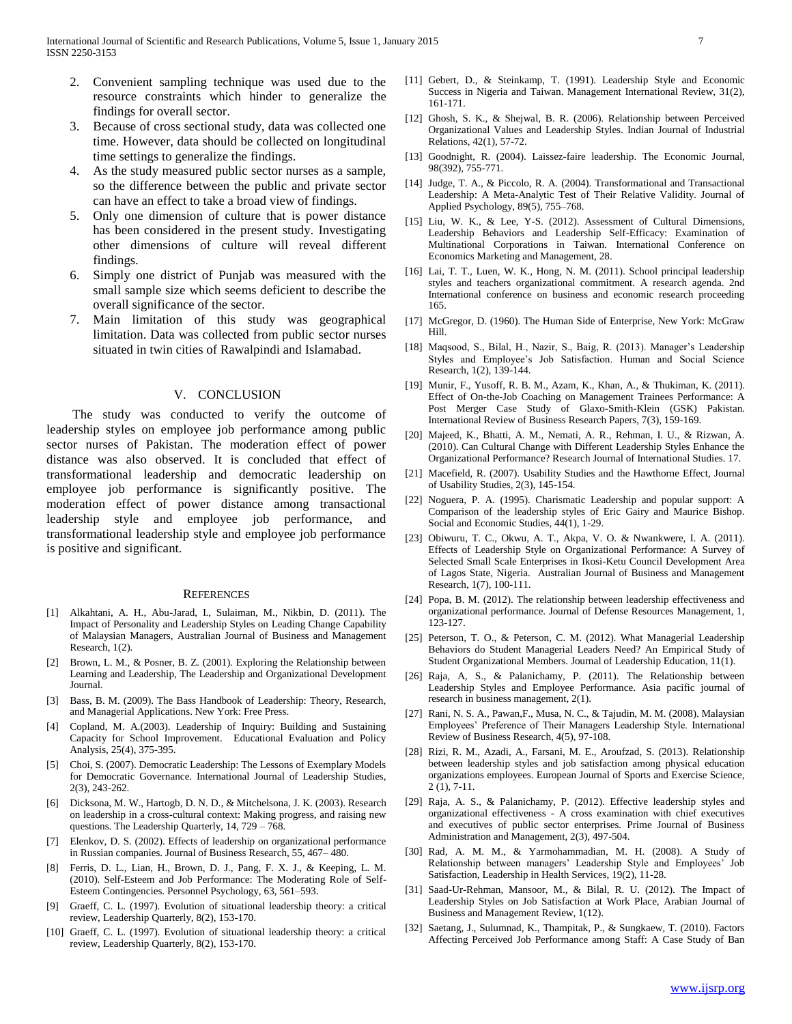- 2. Convenient sampling technique was used due to the resource constraints which hinder to generalize the findings for overall sector.
- 3. Because of cross sectional study, data was collected one time. However, data should be collected on longitudinal time settings to generalize the findings.
- 4. As the study measured public sector nurses as a sample, so the difference between the public and private sector can have an effect to take a broad view of findings.
- 5. Only one dimension of culture that is power distance has been considered in the present study. Investigating other dimensions of culture will reveal different findings.
- 6. Simply one district of Punjab was measured with the small sample size which seems deficient to describe the overall significance of the sector.
- Main limitation of this study was geographical limitation. Data was collected from public sector nurses situated in twin cities of Rawalpindi and Islamabad.

#### V. CONCLUSION

 The study was conducted to verify the outcome of leadership styles on employee job performance among public sector nurses of Pakistan. The moderation effect of power distance was also observed. It is concluded that effect of transformational leadership and democratic leadership on employee job performance is significantly positive. The moderation effect of power distance among transactional leadership style and employee job performance, and transformational leadership style and employee job performance is positive and significant.

#### **REFERENCES**

- [1] Alkahtani, A. H., Abu-Jarad, I., Sulaiman, M., Nikbin, D. (2011). The Impact of Personality and Leadership Styles on Leading Change Capability of Malaysian Managers, Australian Journal of Business and Management Research, 1(2).
- [2] Brown, L. M., & Posner, B. Z. (2001). Exploring the Relationship between Learning and Leadership, The Leadership and Organizational Development Journal.
- [3] Bass, B. M. (2009). The Bass Handbook of Leadership: Theory, Research, and Managerial Applications. New York: Free Press.
- [4] Copland, M. A.(2003). Leadership of Inquiry: Building and Sustaining Capacity for School Improvement. Educational Evaluation and Policy Analysis, 25(4), 375-395.
- [5] Choi, S. (2007). Democratic Leadership: The Lessons of Exemplary Models for Democratic Governance. International Journal of Leadership Studies, 2(3), 243-262.
- [6] Dicksona, M. W., Hartogb, D. N. D., & Mitchelsona, J. K. (2003). Research on leadership in a cross-cultural context: Making progress, and raising new questions. The Leadership Quarterly, 14, 729 – 768.
- [7] Elenkov, D. S. (2002). Effects of leadership on organizational performance in Russian companies. Journal of Business Research, 55, 467– 480.
- [8] Ferris, D. L., Lian, H., Brown, D. J., Pang, F. X. J., & Keeping, L. M. (2010). Self-Esteem and Job Performance: The Moderating Role of Self-Esteem Contingencies. Personnel Psychology, 63, 561–593.
- [9] Graeff, C. L. (1997). Evolution of situational leadership theory: a critical review, Leadership Quarterly, 8(2), 153-170.
- [10] Graeff, C. L. (1997). Evolution of situational leadership theory: a critical review, Leadership Quarterly, 8(2), 153-170.
- [11] Gebert, D., & Steinkamp, T. (1991). Leadership Style and Economic Success in Nigeria and Taiwan. Management International Review, 31(2), 161-171.
- [12] Ghosh, S. K., & Shejwal, B. R. (2006). Relationship between Perceived Organizational Values and Leadership Styles. Indian Journal of Industrial Relations, 42(1), 57-72.
- [13] Goodnight, R. (2004). Laissez-faire leadership. The Economic Journal, 98(392), 755-771.
- [14] Judge, T. A., & Piccolo, R. A. (2004). Transformational and Transactional Leadership: A Meta-Analytic Test of Their Relative Validity. Journal of Applied Psychology, 89(5), 755–768.
- [15] Liu, W. K., & Lee, Y-S. (2012). Assessment of Cultural Dimensions, Leadership Behaviors and Leadership Self-Efficacy: Examination of Multinational Corporations in Taiwan. International Conference on Economics Marketing and Management, 28.
- [16] Lai, T. T., Luen, W. K., Hong, N. M. (2011). School principal leadership styles and teachers organizational commitment. A research agenda. 2nd International conference on business and economic research proceeding 165.
- [17] McGregor, D. (1960). The Human Side of Enterprise, New York: McGraw Hill.
- [18] Maqsood, S., Bilal, H., Nazir, S., Baig, R. (2013). Manager's Leadership Styles and Employee's Job Satisfaction. Human and Social Science Research, 1(2), 139-144.
- [19] Munir, F., Yusoff, R. B. M., Azam, K., Khan, A., & Thukiman, K. (2011). Effect of On-the-Job Coaching on Management Trainees Performance: A Post Merger Case Study of Glaxo-Smith-Klein (GSK) Pakistan. International Review of Business Research Papers, 7(3), 159-169.
- [20] Majeed, K., Bhatti, A. M., Nemati, A. R., Rehman, I. U., & Rizwan, A. (2010). Can Cultural Change with Different Leadership Styles Enhance the Organizational Performance? Research Journal of International Studies. 17.
- [21] Macefield, R. (2007). Usability Studies and the Hawthorne Effect, Journal of Usability Studies, 2(3), 145-154.
- [22] Noguera, P. A. (1995). Charismatic Leadership and popular support: A Comparison of the leadership styles of Eric Gairy and Maurice Bishop. Social and Economic Studies, 44(1), 1-29.
- [23] Obiwuru, T. C., Okwu, A. T., Akpa, V. O. & Nwankwere, I. A. (2011). Effects of Leadership Style on Organizational Performance: A Survey of Selected Small Scale Enterprises in Ikosi-Ketu Council Development Area of Lagos State, Nigeria. Australian Journal of Business and Management Research, 1(7), 100-111.
- [24] Popa, B. M. (2012). The relationship between leadership effectiveness and organizational performance. Journal of Defense Resources Management, 1, 123-127.
- [25] Peterson, T. O., & Peterson, C. M. (2012). What Managerial Leadership Behaviors do Student Managerial Leaders Need? An Empirical Study of Student Organizational Members. Journal of Leadership Education, 11(1).
- [26] Raja, A, S., & Palanichamy, P. (2011). The Relationship between Leadership Styles and Employee Performance. Asia pacific journal of research in business management, 2(1).
- [27] Rani, N. S. A., Pawan,F., Musa, N. C., & Tajudin, M. M. (2008). Malaysian Employees' Preference of Their Managers Leadership Style. International Review of Business Research, 4(5), 97-108.
- [28] Rizi, R. M., Azadi, A., Farsani, M. E., Aroufzad, S. (2013). Relationship between leadership styles and job satisfaction among physical education organizations employees. European Journal of Sports and Exercise Science, 2 (1), 7-11.
- [29] Raja, A. S., & Palanichamy, P. (2012). Effective leadership styles and organizational effectiveness - A cross examination with chief executives and executives of public sector enterprises. Prime Journal of Business Administration and Management, 2(3), 497-504.
- [30] Rad, A. M. M., & Yarmohammadian, M. H. (2008). A Study of Relationship between managers' Leadership Style and Employees' Job Satisfaction, Leadership in Health Services, 19(2), 11-28.
- [31] Saad-Ur-Rehman, Mansoor, M., & Bilal, R. U. (2012). The Impact of Leadership Styles on Job Satisfaction at Work Place, Arabian Journal of Business and Management Review, 1(12).
- [32] Saetang, J., Sulumnad, K., Thampitak, P., & Sungkaew, T. (2010). Factors Affecting Perceived Job Performance among Staff: A Case Study of Ban